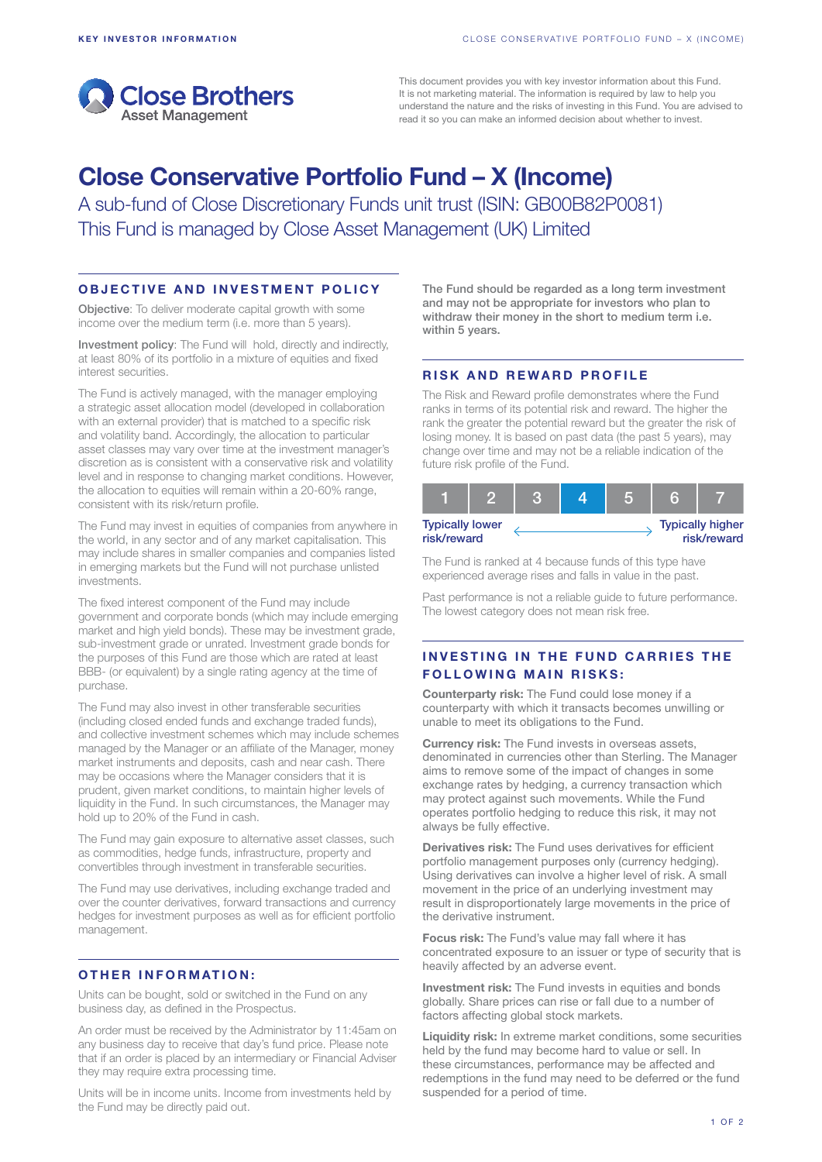

This document provides you with key investor information about this Fund. It is not marketing material. The information is required by law to help you understand the nature and the risks of investing in this Fund. You are advised to read it so you can make an informed decision about whether to invest.

# Close Conservative Portfolio Fund – X (Income)

A sub-fund of Close Discretionary Funds unit trust (ISIN: GB00B82P0081) This Fund is managed by Close Asset Management (UK) Limited

#### OBJECTIVE AND INVESTMENT POLICY

Objective: To deliver moderate capital growth with some income over the medium term (i.e. more than 5 years).

Investment policy: The Fund will hold, directly and indirectly, at least 80% of its portfolio in a mixture of equities and fixed interest securities.

The Fund is actively managed, with the manager employing a strategic asset allocation model (developed in collaboration with an external provider) that is matched to a specific risk and volatility band. Accordingly, the allocation to particular asset classes may vary over time at the investment manager's discretion as is consistent with a conservative risk and volatility level and in response to changing market conditions. However, the allocation to equities will remain within a 20-60% range, consistent with its risk/return profile.

The Fund may invest in equities of companies from anywhere in the world, in any sector and of any market capitalisation. This may include shares in smaller companies and companies listed in emerging markets but the Fund will not purchase unlisted investments.

The fixed interest component of the Fund may include government and corporate bonds (which may include emerging market and high yield bonds). These may be investment grade, sub-investment grade or unrated. Investment grade bonds for the purposes of this Fund are those which are rated at least BBB- (or equivalent) by a single rating agency at the time of purchase.

The Fund may also invest in other transferable securities (including closed ended funds and exchange traded funds), and collective investment schemes which may include schemes managed by the Manager or an affiliate of the Manager, money market instruments and deposits, cash and near cash. There may be occasions where the Manager considers that it is prudent, given market conditions, to maintain higher levels of liquidity in the Fund. In such circumstances, the Manager may hold up to 20% of the Fund in cash.

The Fund may gain exposure to alternative asset classes, such as commodities, hedge funds, infrastructure, property and convertibles through investment in transferable securities.

The Fund may use derivatives, including exchange traded and over the counter derivatives, forward transactions and currency hedges for investment purposes as well as for efficient portfolio management.

# OTHER INFORMATION:

Units can be bought, sold or switched in the Fund on any business day, as defined in the Prospectus.

An order must be received by the Administrator by 11:45am on any business day to receive that day's fund price. Please note that if an order is placed by an intermediary or Financial Adviser they may require extra processing time.

Units will be in income units. Income from investments held by the Fund may be directly paid out.

The Fund should be regarded as a long term investment and may not be appropriate for investors who plan to withdraw their money in the short to medium term i.e. within 5 years.

#### RISK AND REWARD PROFILE

The Risk and Reward profile demonstrates where the Fund ranks in terms of its potential risk and reward. The higher the rank the greater the potential reward but the greater the risk of losing money. It is based on past data (the past 5 years), may change over time and may not be a reliable indication of the future risk profile of the Fund.

| <b>Typically lower</b><br>risk/reward |  |  | <b>Typically higher</b><br>risk/reward |
|---------------------------------------|--|--|----------------------------------------|

The Fund is ranked at 4 because funds of this type have experienced average rises and falls in value in the past.

Past performance is not a reliable guide to future performance. The lowest category does not mean risk free.

## INVESTING IN THE FUND CARRIES THE **FOLLOWING MAIN RISKS:**

Counterparty risk: The Fund could lose money if a counterparty with which it transacts becomes unwilling or unable to meet its obligations to the Fund.

Currency risk: The Fund invests in overseas assets, denominated in currencies other than Sterling. The Manager aims to remove some of the impact of changes in some exchange rates by hedging, a currency transaction which may protect against such movements. While the Fund operates portfolio hedging to reduce this risk, it may not always be fully effective.

Derivatives risk: The Fund uses derivatives for efficient portfolio management purposes only (currency hedging). Using derivatives can involve a higher level of risk. A small movement in the price of an underlying investment may result in disproportionately large movements in the price of the derivative instrument.

Focus risk: The Fund's value may fall where it has concentrated exposure to an issuer or type of security that is heavily affected by an adverse event.

Investment risk: The Fund invests in equities and bonds globally. Share prices can rise or fall due to a number of factors affecting global stock markets.

Liquidity risk: In extreme market conditions, some securities held by the fund may become hard to value or sell. In these circumstances, performance may be affected and redemptions in the fund may need to be deferred or the fund suspended for a period of time.